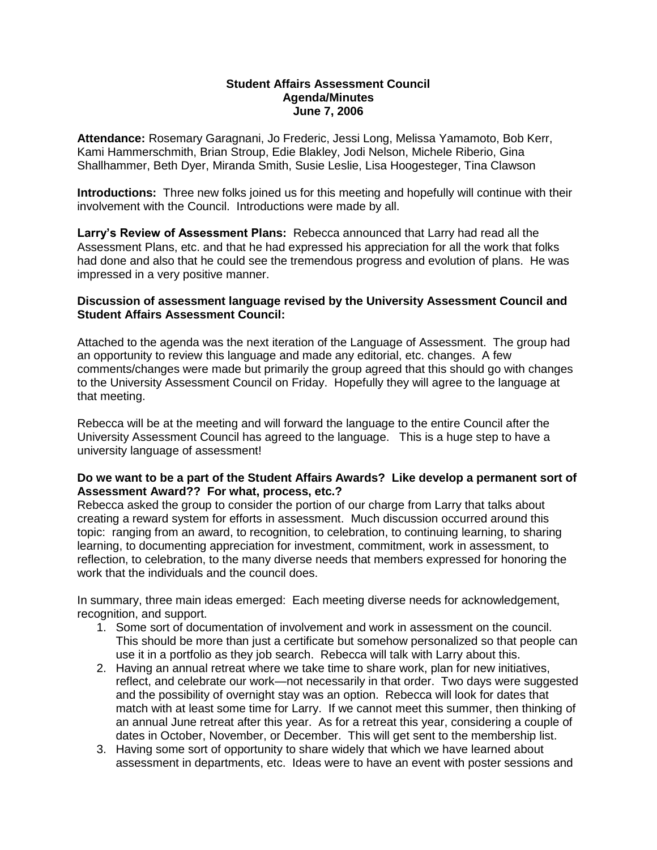## **Student Affairs Assessment Council Agenda/Minutes June 7, 2006**

**Attendance:** Rosemary Garagnani, Jo Frederic, Jessi Long, Melissa Yamamoto, Bob Kerr, Kami Hammerschmith, Brian Stroup, Edie Blakley, Jodi Nelson, Michele Riberio, Gina Shallhammer, Beth Dyer, Miranda Smith, Susie Leslie, Lisa Hoogesteger, Tina Clawson

**Introductions:** Three new folks joined us for this meeting and hopefully will continue with their involvement with the Council. Introductions were made by all.

**Larry's Review of Assessment Plans:** Rebecca announced that Larry had read all the Assessment Plans, etc. and that he had expressed his appreciation for all the work that folks had done and also that he could see the tremendous progress and evolution of plans. He was impressed in a very positive manner.

## **Discussion of assessment language revised by the University Assessment Council and Student Affairs Assessment Council:**

Attached to the agenda was the next iteration of the Language of Assessment. The group had an opportunity to review this language and made any editorial, etc. changes. A few comments/changes were made but primarily the group agreed that this should go with changes to the University Assessment Council on Friday. Hopefully they will agree to the language at that meeting.

Rebecca will be at the meeting and will forward the language to the entire Council after the University Assessment Council has agreed to the language. This is a huge step to have a university language of assessment!

## **Do we want to be a part of the Student Affairs Awards? Like develop a permanent sort of Assessment Award?? For what, process, etc.?**

Rebecca asked the group to consider the portion of our charge from Larry that talks about creating a reward system for efforts in assessment. Much discussion occurred around this topic: ranging from an award, to recognition, to celebration, to continuing learning, to sharing learning, to documenting appreciation for investment, commitment, work in assessment, to reflection, to celebration, to the many diverse needs that members expressed for honoring the work that the individuals and the council does.

In summary, three main ideas emerged: Each meeting diverse needs for acknowledgement, recognition, and support.

- 1. Some sort of documentation of involvement and work in assessment on the council. This should be more than just a certificate but somehow personalized so that people can use it in a portfolio as they job search. Rebecca will talk with Larry about this.
- 2. Having an annual retreat where we take time to share work, plan for new initiatives, reflect, and celebrate our work—not necessarily in that order. Two days were suggested and the possibility of overnight stay was an option. Rebecca will look for dates that match with at least some time for Larry. If we cannot meet this summer, then thinking of an annual June retreat after this year. As for a retreat this year, considering a couple of dates in October, November, or December. This will get sent to the membership list.
- 3. Having some sort of opportunity to share widely that which we have learned about assessment in departments, etc. Ideas were to have an event with poster sessions and